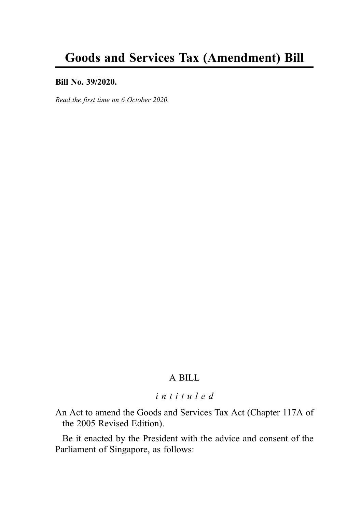#### Bill No. 39/2020.

Read the first time on 6 October 2020.

# A BILL

# intituled

An Act to amend the Goods and Services Tax Act (Chapter 117A of the 2005 Revised Edition).

Be it enacted by the President with the advice and consent of the Parliament of Singapore, as follows: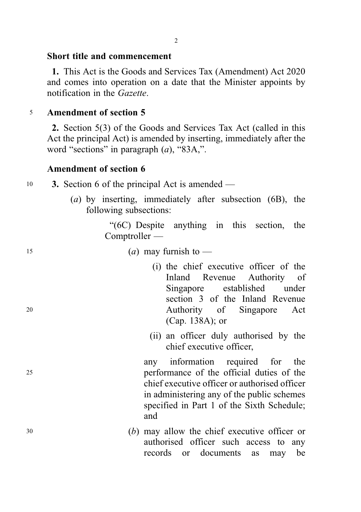## Short title and commencement

1. This Act is the Goods and Services Tax (Amendment) Act 2020 and comes into operation on a date that the Minister appoints by notification in the Gazette.

# <sup>5</sup> Amendment of section 5

2. Section 5(3) of the Goods and Services Tax Act (called in this Act the principal Act) is amended by inserting, immediately after the word "sections" in paragraph  $(a)$ , "83A,".

# Amendment of section 6

| 10 |  |  |  | 3. Section 6 of the principal Act is amended — |  |
|----|--|--|--|------------------------------------------------|--|
|    |  |  |  |                                                |  |

(a) by inserting, immediately after subsection (6B), the following subsections:

> "(6C) Despite anything in this section, the Comptroller —

- 15 (a) may furnish to  $\overline{\phantom{a}}$
- (i) the chief executive officer of the Inland Revenue Authority of Singapore established under section 3 of the Inland Revenue <sup>20</sup> Authority of Singapore Act (Cap. 138A); or
	- (ii) an officer duly authorised by the chief executive officer,

any information required for the <sup>25</sup> performance of the official duties of the chief executive officer or authorised officer in administering any of the public schemes specified in Part 1 of the Sixth Schedule; and

<sup>30</sup> (b) may allow the chief executive officer or authorised officer such access to any records or documents as may be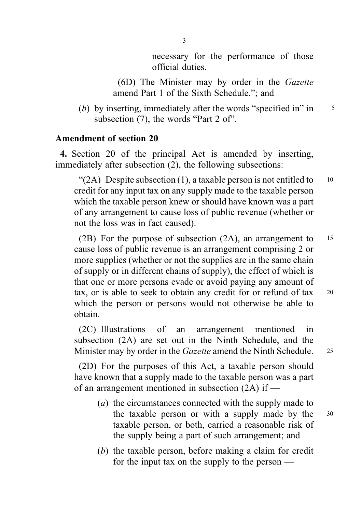necessary for the performance of those official duties.

(6D) The Minister may by order in the Gazette amend Part 1 of the Sixth Schedule."; and

(b) by inserting, immediately after the words "specified in" in  $\frac{5}{5}$ subsection (7), the words "Part 2 of".

# Amendment of section 20

4. Section 20 of the principal Act is amended by inserting, immediately after subsection (2), the following subsections:

"(2A) Despite subsection (1), a taxable person is not entitled to  $10$ credit for any input tax on any supply made to the taxable person which the taxable person knew or should have known was a part of any arrangement to cause loss of public revenue (whether or not the loss was in fact caused).

(2B) For the purpose of subsection (2A), an arrangement to <sup>15</sup> cause loss of public revenue is an arrangement comprising 2 or more supplies (whether or not the supplies are in the same chain of supply or in different chains of supply), the effect of which is that one or more persons evade or avoid paying any amount of tax, or is able to seek to obtain any credit for or refund of tax <sup>20</sup> which the person or persons would not otherwise be able to obtain.

(2C) Illustrations of an arrangement mentioned in subsection (2A) are set out in the Ninth Schedule, and the Minister may by order in the *Gazette* amend the Ninth Schedule. 25

(2D) For the purposes of this Act, a taxable person should have known that a supply made to the taxable person was a part of an arrangement mentioned in subsection (2A) if —

- (a) the circumstances connected with the supply made to the taxable person or with a supply made by the <sup>30</sup> taxable person, or both, carried a reasonable risk of the supply being a part of such arrangement; and
- (b) the taxable person, before making a claim for credit for the input tax on the supply to the person —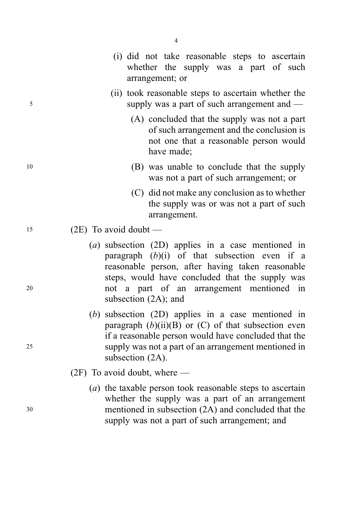|    | (i) did not take reasonable steps to ascertain<br>whether the supply was a part of such<br>arrangement; or                                                                                                                                                                               |
|----|------------------------------------------------------------------------------------------------------------------------------------------------------------------------------------------------------------------------------------------------------------------------------------------|
| 5  | (ii) took reasonable steps to ascertain whether the<br>supply was a part of such arrangement and $-$                                                                                                                                                                                     |
|    | (A) concluded that the supply was not a part<br>of such arrangement and the conclusion is<br>not one that a reasonable person would<br>have made;                                                                                                                                        |
| 10 | (B) was unable to conclude that the supply<br>was not a part of such arrangement; or                                                                                                                                                                                                     |
|    | (C) did not make any conclusion as to whether<br>the supply was or was not a part of such<br>arrangement.                                                                                                                                                                                |
| 15 | $(2E)$ To avoid doubt —                                                                                                                                                                                                                                                                  |
| 20 | $(a)$ subsection $(2D)$ applies in a case mentioned in<br>paragraph $(b)(i)$ of that subsection even if a<br>reasonable person, after having taken reasonable<br>steps, would have concluded that the supply was<br>not a part of an arrangement mentioned in<br>subsection $(2A)$ ; and |
| 25 | $(b)$ subsection $(2D)$ applies in a case mentioned in<br>paragraph $(b)(ii)(B)$ or $(C)$ of that subsection even<br>if a reasonable person would have concluded that the<br>supply was not a part of an arrangement mentioned in<br>subsection $(2A)$ .                                 |
|    | $(2F)$ To avoid doubt, where —                                                                                                                                                                                                                                                           |
| 30 | (a) the taxable person took reasonable steps to ascertain<br>whether the supply was a part of an arrangement<br>mentioned in subsection (2A) and concluded that the<br>supply was not a part of such arrangement; and                                                                    |

4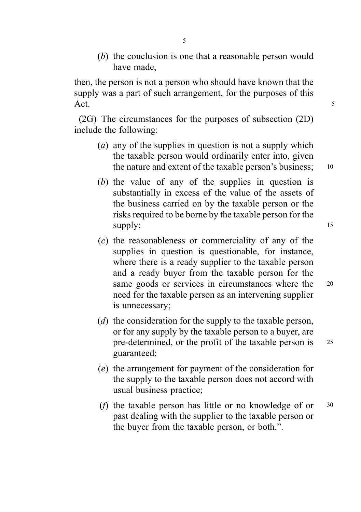(b) the conclusion is one that a reasonable person would have made,

then, the person is not a person who should have known that the supply was a part of such arrangement, for the purposes of this Act. 5

(2G) The circumstances for the purposes of subsection (2D) include the following:

- (a) any of the supplies in question is not a supply which the taxable person would ordinarily enter into, given the nature and extent of the taxable person's business; 10
- (b) the value of any of the supplies in question is substantially in excess of the value of the assets of the business carried on by the taxable person or the risks required to be borne by the taxable person for the supply; 15
- (c) the reasonableness or commerciality of any of the supplies in question is questionable, for instance, where there is a ready supplier to the taxable person and a ready buyer from the taxable person for the same goods or services in circumstances where the 20 need for the taxable person as an intervening supplier is unnecessary;
- (d) the consideration for the supply to the taxable person, or for any supply by the taxable person to a buyer, are pre-determined, or the profit of the taxable person is <sup>25</sup> guaranteed;
- (e) the arrangement for payment of the consideration for the supply to the taxable person does not accord with usual business practice;
- (f) the taxable person has little or no knowledge of or <sup>30</sup> past dealing with the supplier to the taxable person or the buyer from the taxable person, or both.".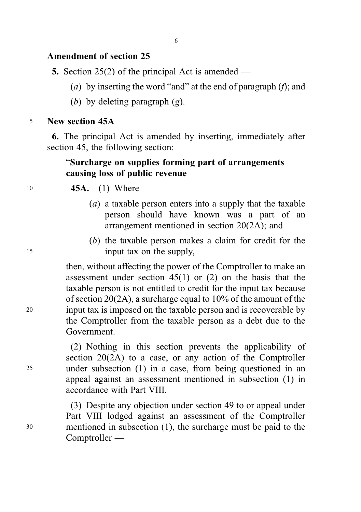# Amendment of section 25

**5.** Section 25(2) of the principal Act is amended —

- (a) by inserting the word "and" at the end of paragraph  $(f)$ ; and
- (b) by deleting paragraph  $(g)$ .

## <sup>5</sup> New section 45A

6. The principal Act is amended by inserting, immediately after section 45, the following section:

# "Surcharge on supplies forming part of arrangements causing loss of public revenue

# 10 **45A.**—(1) Where —

- (a) a taxable person enters into a supply that the taxable person should have known was a part of an arrangement mentioned in section 20(2A); and
- (b) the taxable person makes a claim for credit for the <sup>15</sup> input tax on the supply,

then, without affecting the power of the Comptroller to make an assessment under section 45(1) or (2) on the basis that the taxable person is not entitled to credit for the input tax because of section 20(2A), a surcharge equal to 10% of the amount of the <sup>20</sup> input tax is imposed on the taxable person and is recoverable by the Comptroller from the taxable person as a debt due to the Government.

(2) Nothing in this section prevents the applicability of section 20(2A) to a case, or any action of the Comptroller <sup>25</sup> under subsection (1) in a case, from being questioned in an appeal against an assessment mentioned in subsection (1) in accordance with Part VIII.

(3) Despite any objection under section 49 to or appeal under Part VIII lodged against an assessment of the Comptroller <sup>30</sup> mentioned in subsection (1), the surcharge must be paid to the Comptroller —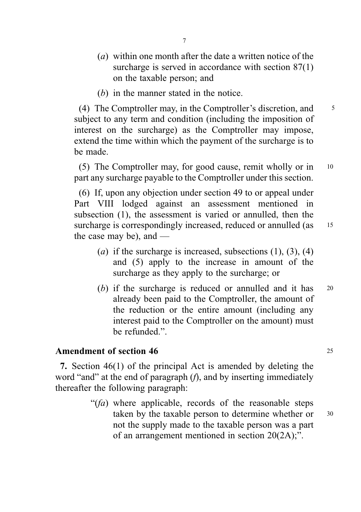- (a) within one month after the date a written notice of the surcharge is served in accordance with section 87(1) on the taxable person; and
- (b) in the manner stated in the notice.

(4) The Comptroller may, in the Comptroller's discretion, and <sup>5</sup> subject to any term and condition (including the imposition of interest on the surcharge) as the Comptroller may impose, extend the time within which the payment of the surcharge is to be made.

(5) The Comptroller may, for good cause, remit wholly or in <sup>10</sup> part any surcharge payable to the Comptroller under this section.

(6) If, upon any objection under section 49 to or appeal under Part VIII lodged against an assessment mentioned in subsection (1), the assessment is varied or annulled, then the surcharge is correspondingly increased, reduced or annulled (as 15 the case may be), and —

- (a) if the surcharge is increased, subsections  $(1)$ ,  $(3)$ ,  $(4)$ and (5) apply to the increase in amount of the surcharge as they apply to the surcharge; or
- (b) if the surcharge is reduced or annulled and it has 20 already been paid to the Comptroller, the amount of the reduction or the entire amount (including any interest paid to the Comptroller on the amount) must be refunded."

## Amendment of section 46 25

7. Section 46(1) of the principal Act is amended by deleting the word "and" at the end of paragraph (*f*), and by inserting immediately thereafter the following paragraph:

> " $(fa)$  where applicable, records of the reasonable steps" taken by the taxable person to determine whether or  $30$ not the supply made to the taxable person was a part of an arrangement mentioned in section 20(2A);".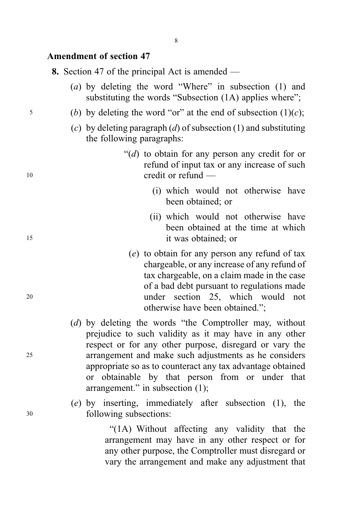## Amendment of section 47

8. Section 47 of the principal Act is amended —

- (a) by deleting the word "Where" in subsection (1) and substituting the words "Subsection (1A) applies where":
- $5$  (b) by deleting the word "or" at the end of subsection  $(1)(c)$ ;
	- (c) by deleting paragraph  $(d)$  of subsection  $(1)$  and substituting the following paragraphs:
- " $(d)$  to obtain for any person any credit for or refund of input tax or any increase of such 10 credit or refund —
	- (i) which would not otherwise have been obtained; or
- (ii) which would not otherwise have been obtained at the time at which <sup>15</sup> it was obtained; or
- (e) to obtain for any person any refund of tax chargeable, or any increase of any refund of tax chargeable, on a claim made in the case of a bad debt pursuant to regulations made <sup>20</sup> under section 25, which would not otherwise have been obtained.";
- (d) by deleting the words "the Comptroller may, without prejudice to such validity as it may have in any other respect or for any other purpose, disregard or vary the <sup>25</sup> arrangement and make such adjustments as he considers appropriate so as to counteract any tax advantage obtained or obtainable by that person from or under that arrangement." in subsection (1);
- (e) by inserting, immediately after subsection (1), the <sup>30</sup> following subsections:

"(1A) Without affecting any validity that the arrangement may have in any other respect or for any other purpose, the Comptroller must disregard or vary the arrangement and make any adjustment that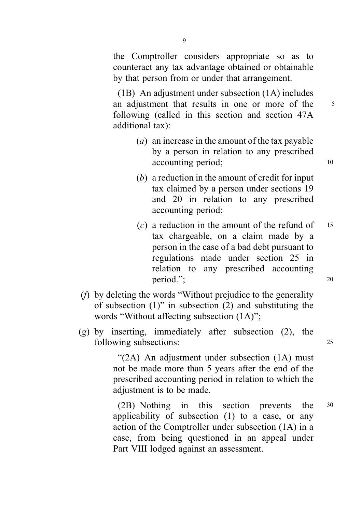the Comptroller considers appropriate so as to counteract any tax advantage obtained or obtainable by that person from or under that arrangement.

(1B) An adjustment under subsection (1A) includes an adjustment that results in one or more of the 5 following (called in this section and section 47A additional tax):

- (a) an increase in the amount of the tax payable by a person in relation to any prescribed accounting period; 10
- (b) a reduction in the amount of credit for input tax claimed by a person under sections 19 and 20 in relation to any prescribed accounting period;
- $(c)$  a reduction in the amount of the refund of  $15$ tax chargeable, on a claim made by a person in the case of a bad debt pursuant to regulations made under section 25 in relation to any prescribed accounting period."; 20
- (f) by deleting the words "Without prejudice to the generality of subsection (1)" in subsection (2) and substituting the words "Without affecting subsection (1A)";
- $(g)$  by inserting, immediately after subsection (2), the following subsections: 25

"(2A) An adjustment under subsection (1A) must not be made more than 5 years after the end of the prescribed accounting period in relation to which the adjustment is to be made.

(2B) Nothing in this section prevents the <sup>30</sup> applicability of subsection (1) to a case, or any action of the Comptroller under subsection (1A) in a case, from being questioned in an appeal under Part VIII lodged against an assessment.

9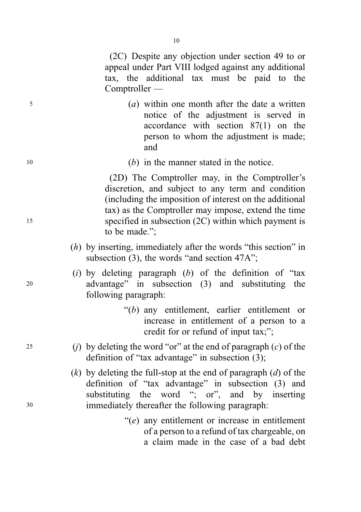(2C) Despite any objection under section 49 to or appeal under Part VIII lodged against any additional tax, the additional tax must be paid to the Comptroller —

- <sup>5</sup> (a) within one month after the date a written notice of the adjustment is served in accordance with section 87(1) on the person to whom the adjustment is made; and
- <sup>10</sup> (b) in the manner stated in the notice.

(2D) The Comptroller may, in the Comptroller's discretion, and subject to any term and condition (including the imposition of interest on the additional tax) as the Comptroller may impose, extend the time <sup>15</sup> specified in subsection (2C) within which payment is to be made.";

- $(h)$  by inserting, immediately after the words "this section" in subsection (3), the words "and section 47A";
- (i) by deleting paragraph  $(b)$  of the definition of "tax" <sup>20</sup> advantage" in subsection (3) and substituting the following paragraph:
	- "(b) any entitlement, earlier entitlement or increase in entitlement of a person to a credit for or refund of input tax;";
- 25 (i) by deleting the word "or" at the end of paragraph  $(c)$  of the definition of "tax advantage" in subsection (3);
- $(k)$  by deleting the full-stop at the end of paragraph  $(d)$  of the definition of "tax advantage" in subsection (3) and substituting the word "; or", and by inserting <sup>30</sup> immediately thereafter the following paragraph:
	- "(e) any entitlement or increase in entitlement of a person to a refund of tax chargeable, on a claim made in the case of a bad debt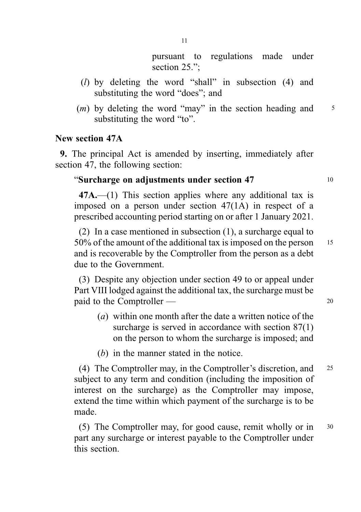pursuant to regulations made under section 25.":

- (l) by deleting the word "shall" in subsection (4) and substituting the word "does"; and
- $(m)$  by deleting the word "may" in the section heading and  $5$ substituting the word "to".

#### New section 47A

9. The principal Act is amended by inserting, immediately after section 47, the following section:

# "Surcharge on adjustments under section 47 <sup>10</sup>

47A.—(1) This section applies where any additional tax is imposed on a person under section 47(1A) in respect of a prescribed accounting period starting on or after 1 January 2021.

(2) In a case mentioned in subsection (1), a surcharge equal to 50% of the amount of the additional tax is imposed on the person <sup>15</sup> and is recoverable by the Comptroller from the person as a debt due to the Government.

(3) Despite any objection under section 49 to or appeal under Part VIII lodged against the additional tax, the surcharge must be paid to the Comptroller — 20

- (a) within one month after the date a written notice of the surcharge is served in accordance with section 87(1) on the person to whom the surcharge is imposed; and
- (b) in the manner stated in the notice.

(4) The Comptroller may, in the Comptroller's discretion, and <sup>25</sup> subject to any term and condition (including the imposition of interest on the surcharge) as the Comptroller may impose, extend the time within which payment of the surcharge is to be made.

(5) The Comptroller may, for good cause, remit wholly or in <sup>30</sup> part any surcharge or interest payable to the Comptroller under this section.

11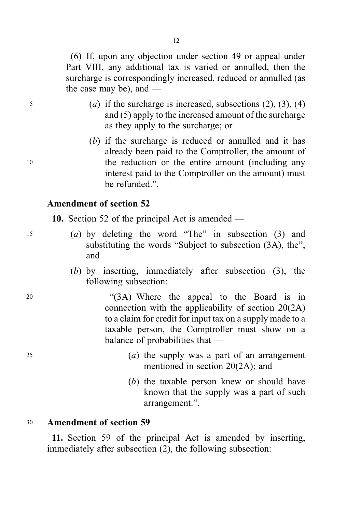(6) If, upon any objection under section 49 or appeal under Part VIII, any additional tax is varied or annulled, then the surcharge is correspondingly increased, reduced or annulled (as the case may be), and —

- $(a)$  if the surcharge is increased, subsections  $(2)$ ,  $(3)$ ,  $(4)$ and (5) apply to the increased amount of the surcharge as they apply to the surcharge; or
- (b) if the surcharge is reduced or annulled and it has already been paid to the Comptroller, the amount of <sup>10</sup> the reduction or the entire amount (including any interest paid to the Comptroller on the amount) must be refunded.".

# Amendment of section 52

10. Section 52 of the principal Act is amended —

- <sup>15</sup> (a) by deleting the word "The" in subsection (3) and substituting the words "Subject to subsection  $(3A)$ , the"; and
	- (b) by inserting, immediately after subsection (3), the following subsection:

<sup>20</sup> "(3A) Where the appeal to the Board is in connection with the applicability of section 20(2A) to a claim for credit for input tax on a supply made to a taxable person, the Comptroller must show on a balance of probabilities that —

- $(a)$  the supply was a part of an arrangement mentioned in section 20(2A); and
	- (b) the taxable person knew or should have known that the supply was a part of such arrangement.".

#### <sup>30</sup> Amendment of section 59

11. Section 59 of the principal Act is amended by inserting, immediately after subsection (2), the following subsection: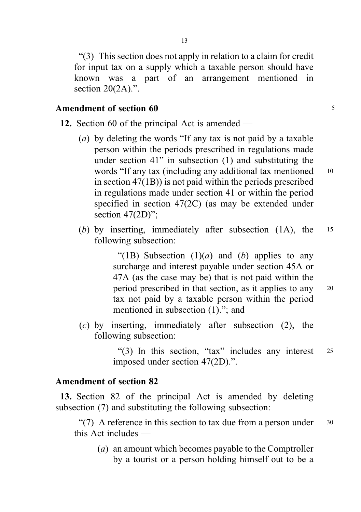"(3) This section does not apply in relation to a claim for credit for input tax on a supply which a taxable person should have known was a part of an arrangement mentioned in section  $20(2A)$ .".

# Amendment of section 60 <sup>5</sup>

- 12. Section 60 of the principal Act is amended
	- (a) by deleting the words "If any tax is not paid by a taxable person within the periods prescribed in regulations made under section 41" in subsection (1) and substituting the words "If any tax (including any additional tax mentioned 10 in section 47(1B)) is not paid within the periods prescribed in regulations made under section 41 or within the period specified in section 47(2C) (as may be extended under section 47(2D)":
	- (b) by inserting, immediately after subsection (1A), the 15 following subsection:

"(1B) Subsection  $(1)(a)$  and  $(b)$  applies to any surcharge and interest payable under section 45A or 47A (as the case may be) that is not paid within the period prescribed in that section, as it applies to any <sup>20</sup> tax not paid by a taxable person within the period mentioned in subsection (1)."; and

(c) by inserting, immediately after subsection (2), the following subsection:

> "(3) In this section, "tax" includes any interest <sup>25</sup> imposed under section 47(2D).".

## Amendment of section 82

13. Section 82 of the principal Act is amended by deleting subsection (7) and substituting the following subsection:

"(7) A reference in this section to tax due from a person under  $30$ this Act includes —

(a) an amount which becomes payable to the Comptroller by a tourist or a person holding himself out to be a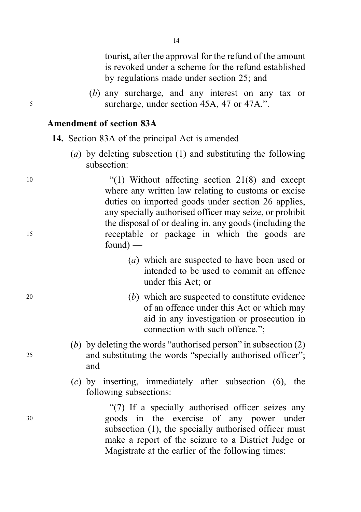tourist, after the approval for the refund of the amount is revoked under a scheme for the refund established by regulations made under section 25; and

(b) any surcharge, and any interest on any tax or <sup>5</sup> surcharge, under section 45A, 47 or 47A.".

## Amendment of section 83A

- 14. Section 83A of the principal Act is amended
	- (a) by deleting subsection (1) and substituting the following subsection:

<sup>10</sup> "(1) Without affecting section 21(8) and except where any written law relating to customs or excise duties on imported goods under section 26 applies, any specially authorised officer may seize, or prohibit the disposal of or dealing in, any goods (including the <sup>15</sup> receptable or package in which the goods are  $found$  —

- (a) which are suspected to have been used or intended to be used to commit an offence under this Act; or
- <sup>20</sup> (b) which are suspected to constitute evidence of an offence under this Act or which may aid in any investigation or prosecution in connection with such offence.";
- (b) by deleting the words "authorised person" in subsection (2) <sup>25</sup> and substituting the words "specially authorised officer"; and
	- (c) by inserting, immediately after subsection (6), the following subsections:

"(7) If a specially authorised officer seizes any <sup>30</sup> goods in the exercise of any power under subsection (1), the specially authorised officer must make a report of the seizure to a District Judge or Magistrate at the earlier of the following times: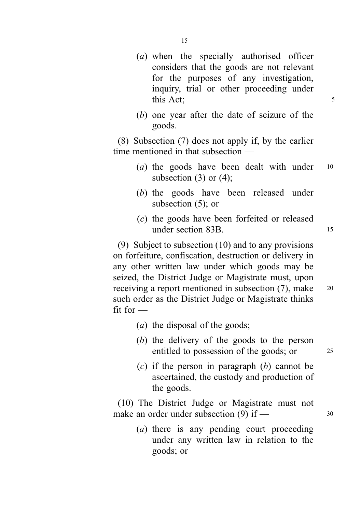- (a) when the specially authorised officer
	- considers that the goods are not relevant for the purposes of any investigation, inquiry, trial or other proceeding under this Act: 5
- (b) one year after the date of seizure of the goods.

(8) Subsection (7) does not apply if, by the earlier time mentioned in that subsection —

- (*a*) the goods have been dealt with under  $10$ subsection  $(3)$  or  $(4)$ ;
- (b) the goods have been released under subsection (5); or
- (c) the goods have been forfeited or released under section 83B.

(9) Subject to subsection (10) and to any provisions on forfeiture, confiscation, destruction or delivery in any other written law under which goods may be seized, the District Judge or Magistrate must, upon receiving a report mentioned in subsection (7), make <sup>20</sup> such order as the District Judge or Magistrate thinks  $fit$  for  $-$ 

- (a) the disposal of the goods;
- (b) the delivery of the goods to the person entitled to possession of the goods; or 25
- $(c)$  if the person in paragraph  $(b)$  cannot be ascertained, the custody and production of the goods.

(10) The District Judge or Magistrate must not make an order under subsection  $(9)$  if —  $30$ 

> (a) there is any pending court proceeding under any written law in relation to the goods; or

15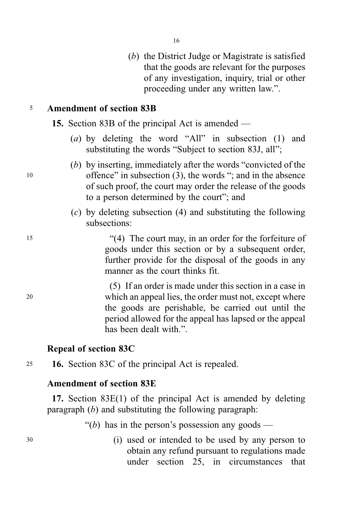16

(b) the District Judge or Magistrate is satisfied that the goods are relevant for the purposes of any investigation, inquiry, trial or other proceeding under any written law.".

# <sup>5</sup> Amendment of section 83B

15. Section 83B of the principal Act is amended —

- (a) by deleting the word "All" in subsection  $(1)$  and substituting the words "Subject to section 83J, all";
- (b) by inserting, immediately after the words "convicted of the <sup>10</sup> offence" in subsection (3), the words "; and in the absence of such proof, the court may order the release of the goods to a person determined by the court"; and
	- (c) by deleting subsection (4) and substituting the following subsections:

<sup>15</sup> "(4) The court may, in an order for the forfeiture of goods under this section or by a subsequent order, further provide for the disposal of the goods in any manner as the court thinks fit.

(5) If an order is made under this section in a case in <sup>20</sup> which an appeal lies, the order must not, except where the goods are perishable, be carried out until the period allowed for the appeal has lapsed or the appeal has been dealt with.".

# Repeal of section 83C

<sup>25</sup> 16. Section 83C of the principal Act is repealed.

# Amendment of section 83E

17. Section 83E(1) of the principal Act is amended by deleting paragraph  $(b)$  and substituting the following paragraph:

"(b) has in the person's possession any goods —

<sup>30</sup> (i) used or intended to be used by any person to obtain any refund pursuant to regulations made under section 25, in circumstances that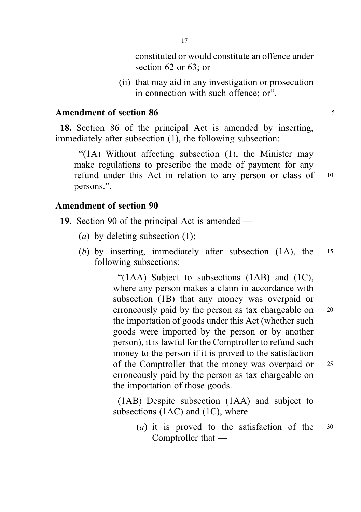constituted or would constitute an offence under section 62 or 63; or

(ii) that may aid in any investigation or prosecution in connection with such offence; or".

#### Amendment of section 86 <sup>5</sup>

18. Section 86 of the principal Act is amended by inserting, immediately after subsection (1), the following subsection:

"(1A) Without affecting subsection (1), the Minister may make regulations to prescribe the mode of payment for any refund under this Act in relation to any person or class of 10 persons.".

#### Amendment of section 90

- 19. Section 90 of the principal Act is amended
	- (*a*) by deleting subsection  $(1)$ ;
	- (b) by inserting, immediately after subsection (1A), the 15 following subsections:

"(1AA) Subject to subsections (1AB) and (1C), where any person makes a claim in accordance with subsection (1B) that any money was overpaid or erroneously paid by the person as tax chargeable on 20 the importation of goods under this Act (whether such goods were imported by the person or by another person), it is lawful for the Comptroller to refund such money to the person if it is proved to the satisfaction of the Comptroller that the money was overpaid or <sup>25</sup> erroneously paid by the person as tax chargeable on the importation of those goods.

(1AB) Despite subsection (1AA) and subject to subsections (1AC) and (1C), where —

> (a) it is proved to the satisfaction of the <sup>30</sup> Comptroller that —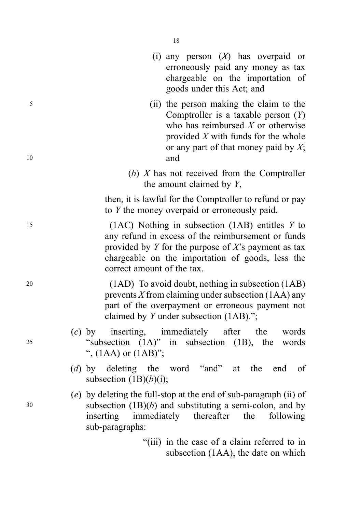| (i) any person $(X)$ has overpaid or<br>erroneously paid any money as tax<br>chargeable on the importation of<br>goods under this Act; and                                                                                                              |         |
|---------------------------------------------------------------------------------------------------------------------------------------------------------------------------------------------------------------------------------------------------------|---------|
| (ii) the person making the claim to the<br>Comptroller is a taxable person $(Y)$<br>who has reimbursed $X$ or otherwise<br>provided $X$ with funds for the whole<br>or any part of that money paid by $X$ ;<br>and                                      | 5<br>10 |
| (b) $X$ has not received from the Comptroller<br>the amount claimed by Y,                                                                                                                                                                               |         |
| then, it is lawful for the Comptroller to refund or pay<br>to $Y$ the money overpaid or erroneously paid.                                                                                                                                               |         |
| $(1AC)$ Nothing in subsection $(1AB)$ entitles Y to<br>any refund in excess of the reimbursement or funds<br>provided by $Y$ for the purpose of $X$ 's payment as tax<br>chargeable on the importation of goods, less the<br>correct amount of the tax. | 15      |
| (1AD) To avoid doubt, nothing in subsection (1AB)<br>prevents $X$ from claiming under subsection (1AA) any<br>part of the overpayment or erroneous payment not<br>claimed by $Y$ under subsection $(1AB)$ .";                                           | 20      |
| (c) by inserting, immediately after the<br>words<br>"subsection $(1A)$ " in subsection $(1B)$ , the<br>words<br>", $(1AA)$ or $(1AB)$ ";                                                                                                                | 25      |
| (d) by deleting the word "and" at the end of<br>subsection $(1B)(b)(i)$ ;                                                                                                                                                                               |         |
| $(e)$ by deleting the full-stop at the end of sub-paragraph (ii) of<br>subsection $(1B)(b)$ and substituting a semi-colon, and by<br>immediately<br>thereafter<br>following<br>inserting<br>the<br>sub-paragraphs:                                      | 30      |
| "(iii) in the case of a claim referred to in<br>subsection (1AA), the date on which                                                                                                                                                                     |         |

18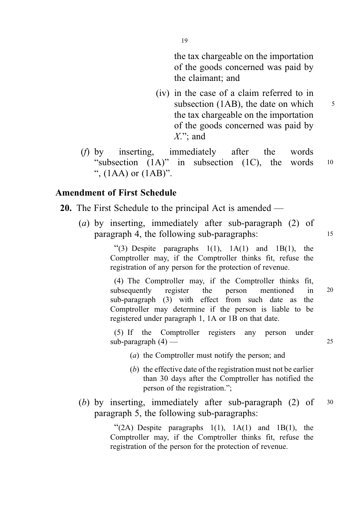the tax chargeable on the importation of the goods concerned was paid by the claimant; and

- (iv) in the case of a claim referred to in subsection (1AB), the date on which  $\frac{5}{5}$ the tax chargeable on the importation of the goods concerned was paid by  $X$ "; and
- (f) by inserting, immediately after the words "subsection  $(1A)$ " in subsection  $(1C)$ , the words  $10$ ",  $(1AA)$  or  $(1AB)$ ".

## Amendment of First Schedule

- 20. The First Schedule to the principal Act is amended
	- (a) by inserting, immediately after sub-paragraph (2) of paragraph 4, the following sub-paragraphs: <sup>15</sup>

"(3) Despite paragraphs  $1(1)$ ,  $1A(1)$  and  $1B(1)$ , the Comptroller may, if the Comptroller thinks fit, refuse the registration of any person for the protection of revenue.

(4) The Comptroller may, if the Comptroller thinks fit, subsequently register the person mentioned in 20 sub-paragraph (3) with effect from such date as the Comptroller may determine if the person is liable to be registered under paragraph 1, 1A or 1B on that date.

(5) If the Comptroller registers any person under  $sub-paragnh(4)$  — 25

- (a) the Comptroller must notify the person; and
- (b) the effective date of the registration must not be earlier than 30 days after the Comptroller has notified the person of the registration.";
- (b) by inserting, immediately after sub-paragraph (2) of <sup>30</sup> paragraph 5, the following sub-paragraphs:

" $(2A)$  Despite paragraphs  $1(1)$ ,  $1A(1)$  and  $1B(1)$ , the Comptroller may, if the Comptroller thinks fit, refuse the registration of the person for the protection of revenue.

19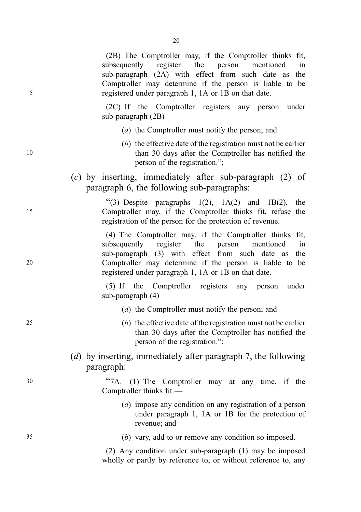(2B) The Comptroller may, if the Comptroller thinks fit, subsequently register the person mentioned in sub-paragraph (2A) with effect from such date as the Comptroller may determine if the person is liable to be 5 registered under paragraph 1, 1A or 1B on that date.

> (2C) If the Comptroller registers any person under sub-paragraph  $(2B)$  —

- (a) the Comptroller must notify the person; and
- (b) the effective date of the registration must not be earlier 10 than 30 days after the Comptroller has notified the person of the registration.";
	- (c) by inserting, immediately after sub-paragraph (2) of paragraph 6, the following sub-paragraphs:

"(3) Despite paragraphs  $1(2)$ ,  $1A(2)$  and  $1B(2)$ , the 15 Comptroller may, if the Comptroller thinks fit, refuse the registration of the person for the protection of revenue.

(4) The Comptroller may, if the Comptroller thinks fit, subsequently register the person mentioned in sub-paragraph (3) with effect from such date as the 20 Comptroller may determine if the person is liable to be registered under paragraph 1, 1A or 1B on that date.

> (5) If the Comptroller registers any person under sub-paragraph  $(4)$  —

- (a) the Comptroller must notify the person; and
- 25 (b) the effective date of the registration must not be earlier than 30 days after the Comptroller has notified the person of the registration.";
	- (*d*) by inserting, immediately after paragraph 7, the following paragraph:

<sup>30</sup> "7A.—(1) The Comptroller may at any time, if the Comptroller thinks fit —

- (a) impose any condition on any registration of a person under paragraph 1, 1A or 1B for the protection of revenue; and
- 35 (b) vary, add to or remove any condition so imposed.

(2) Any condition under sub-paragraph (1) may be imposed wholly or partly by reference to, or without reference to, any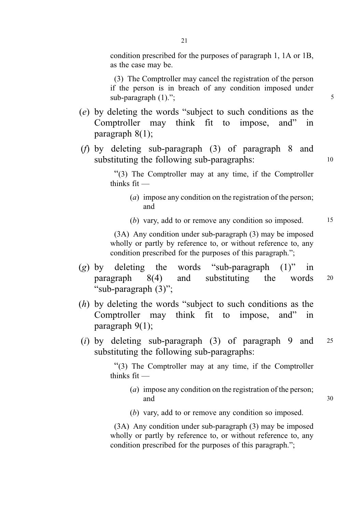condition prescribed for the purposes of paragraph 1, 1A or 1B, as the case may be.

(3) The Comptroller may cancel the registration of the person if the person is in breach of any condition imposed under  $sub-param$  (1).";  $5$ 

- (e) by deleting the words "subject to such conditions as the Comptroller may think fit to impose, and" in paragraph 8(1);
- (f) by deleting sub-paragraph (3) of paragraph 8 and substituting the following sub-paragraphs: 10

"(3) The Comptroller may at any time, if the Comptroller thinks fit —

- (a) impose any condition on the registration of the person; and
- (b) vary, add to or remove any condition so imposed.  $15$

(3A) Any condition under sub-paragraph (3) may be imposed wholly or partly by reference to, or without reference to, any condition prescribed for the purposes of this paragraph.";

- (g) by deleting the words "sub-paragraph  $(1)$ " in paragraph 8(4) and substituting the words <sup>20</sup> "sub-paragraph (3)";
- (h) by deleting the words "subject to such conditions as the Comptroller may think fit to impose, and" in paragraph 9(1);
- (i) by deleting sub-paragraph  $(3)$  of paragraph 9 and 25 substituting the following sub-paragraphs:

"(3) The Comptroller may at any time, if the Comptroller thinks fit —

- (a) impose any condition on the registration of the person; and 30
- (b) vary, add to or remove any condition so imposed.

(3A) Any condition under sub-paragraph (3) may be imposed wholly or partly by reference to, or without reference to, any condition prescribed for the purposes of this paragraph.";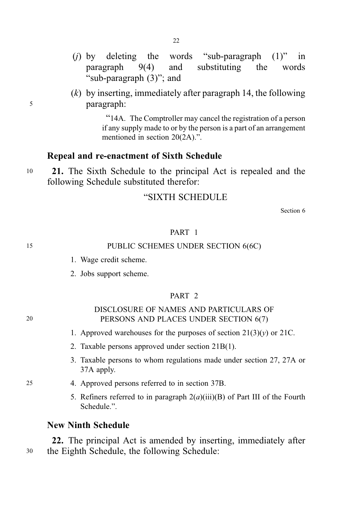(i) by deleting the words "sub-paragraph  $(1)$ " in paragraph 9(4) and substituting the words "sub-paragraph (3)"; and

22

 $(k)$  by inserting, immediately after paragraph 14, the following <sup>5</sup> paragraph:

> "14A. The Comptroller may cancel the registration of a person if any supply made to or by the person is a part of an arrangement mentioned in section 20(2A).".

#### Repeal and re-enactment of Sixth Schedule

<sup>10</sup> 21. The Sixth Schedule to the principal Act is repealed and the following Schedule substituted therefor:

#### "SIXTH SCHEDULE

Section 6

#### PART 1

#### 15 PUBLIC SCHEMES UNDER SECTION 6(6C)

- 1. Wage credit scheme.
- 2. Jobs support scheme.

#### PART 2

#### DISCLOSURE OF NAMES AND PARTICULARS OF 20 PERSONS AND PLACES UNDER SECTION 6(7)

- 1. Approved warehouses for the purposes of section  $21(3)(y)$  or 21C.
- 2. Taxable persons approved under section 21B(1).
- 3. Taxable persons to whom regulations made under section 27, 27A or 37A apply.
- 25 4. Approved persons referred to in section 37B.
	- 5. Refiners referred to in paragraph  $2(a)(iii)(B)$  of Part III of the Fourth Schedule.".

#### New Ninth Schedule

22. The principal Act is amended by inserting, immediately after <sup>30</sup> the Eighth Schedule, the following Schedule: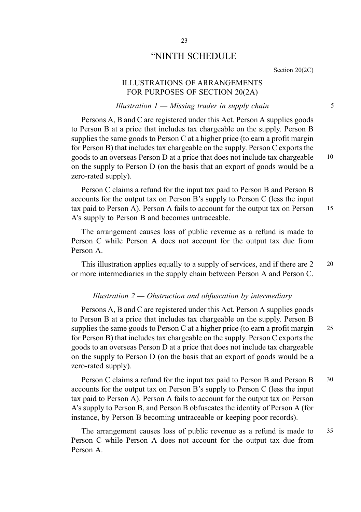#### "NINTH SCHEDULE

Section 20(2C)

#### ILLUSTRATIONS OF ARRANGEMENTS FOR PURPOSES OF SECTION 20(2A)

#### $Illustration\ 1-Missing\ tradeer\ in\ supply\ chain$  5

Persons A, B and C are registered under this Act. Person A supplies goods to Person B at a price that includes tax chargeable on the supply. Person B supplies the same goods to Person C at a higher price (to earn a profit margin for Person B) that includes tax chargeable on the supply. Person C exports the goods to an overseas Person D at a price that does not include tax chargeable 10 on the supply to Person D (on the basis that an export of goods would be a zero-rated supply).

Person C claims a refund for the input tax paid to Person B and Person B accounts for the output tax on Person B's supply to Person C (less the input tax paid to Person A). Person A fails to account for the output tax on Person 15 A's supply to Person B and becomes untraceable.

The arrangement causes loss of public revenue as a refund is made to Person C while Person A does not account for the output tax due from Person A.

This illustration applies equally to a supply of services, and if there are 2 20 or more intermediaries in the supply chain between Person A and Person C.

#### Illustration  $2 -$  Obstruction and obfuscation by intermediary

Persons A, B and C are registered under this Act. Person A supplies goods to Person B at a price that includes tax chargeable on the supply. Person B supplies the same goods to Person C at a higher price (to earn a profit margin 25 for Person B) that includes tax chargeable on the supply. Person C exports the goods to an overseas Person D at a price that does not include tax chargeable on the supply to Person D (on the basis that an export of goods would be a zero-rated supply).

Person C claims a refund for the input tax paid to Person B and Person B 30 accounts for the output tax on Person B's supply to Person C (less the input tax paid to Person A). Person A fails to account for the output tax on Person A's supply to Person B, and Person B obfuscates the identity of Person A (for instance, by Person B becoming untraceable or keeping poor records).

The arrangement causes loss of public revenue as a refund is made to 35 Person C while Person A does not account for the output tax due from Person A.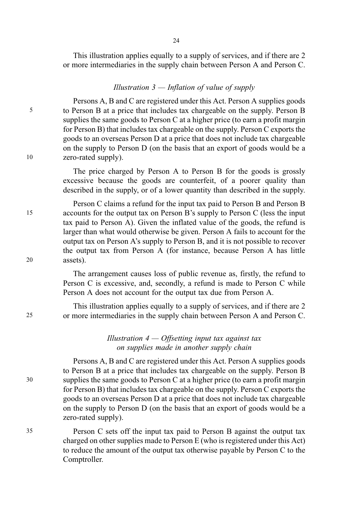This illustration applies equally to a supply of services, and if there are 2 or more intermediaries in the supply chain between Person A and Person C.

#### Illustration  $3$  — Inflation of value of supply

Persons A, B and C are registered under this Act. Person A supplies goods 5 to Person B at a price that includes tax chargeable on the supply. Person B supplies the same goods to Person C at a higher price (to earn a profit margin for Person B) that includes tax chargeable on the supply. Person C exports the goods to an overseas Person D at a price that does not include tax chargeable on the supply to Person D (on the basis that an export of goods would be a 10 zero-rated supply).

> The price charged by Person A to Person B for the goods is grossly excessive because the goods are counterfeit, of a poorer quality than described in the supply, or of a lower quantity than described in the supply.

Person C claims a refund for the input tax paid to Person B and Person B 15 accounts for the output tax on Person B's supply to Person C (less the input tax paid to Person A). Given the inflated value of the goods, the refund is larger than what would otherwise be given. Person A fails to account for the output tax on Person A's supply to Person B, and it is not possible to recover the output tax from Person A (for instance, because Person A has little 20 assets).

> The arrangement causes loss of public revenue as, firstly, the refund to Person C is excessive, and, secondly, a refund is made to Person C while Person A does not account for the output tax due from Person A.

This illustration applies equally to a supply of services, and if there are 2 25 or more intermediaries in the supply chain between Person A and Person C.

#### Illustration  $4 -$  Offsetting input tax against tax on supplies made in another supply chain

Persons A, B and C are registered under this Act. Person A supplies goods to Person B at a price that includes tax chargeable on the supply. Person B 30 supplies the same goods to Person C at a higher price (to earn a profit margin for Person B) that includes tax chargeable on the supply. Person C exports the goods to an overseas Person D at a price that does not include tax chargeable on the supply to Person D (on the basis that an export of goods would be a zero-rated supply).

35 Person C sets off the input tax paid to Person B against the output tax charged on other supplies made to Person E (who is registered under this Act) to reduce the amount of the output tax otherwise payable by Person C to the Comptroller.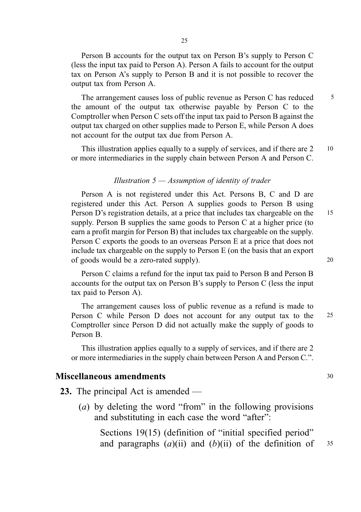Person B accounts for the output tax on Person B's supply to Person C (less the input tax paid to Person A). Person A fails to account for the output tax on Person A's supply to Person B and it is not possible to recover the output tax from Person A.

The arrangement causes loss of public revenue as Person C has reduced  $\frac{5}{5}$ the amount of the output tax otherwise payable by Person C to the Comptroller when Person C sets off the input tax paid to Person B against the output tax charged on other supplies made to Person E, while Person A does not account for the output tax due from Person A.

This illustration applies equally to a supply of services, and if there are 2 10 or more intermediaries in the supply chain between Person A and Person C.

#### Illustration  $5 -$  Assumption of identity of trader

Person A is not registered under this Act. Persons B, C and D are registered under this Act. Person A supplies goods to Person B using Person D's registration details, at a price that includes tax chargeable on the 15 supply. Person B supplies the same goods to Person C at a higher price (to earn a profit margin for Person B) that includes tax chargeable on the supply. Person C exports the goods to an overseas Person E at a price that does not include tax chargeable on the supply to Person E (on the basis that an export of goods would be a zero-rated supply). 20

Person C claims a refund for the input tax paid to Person B and Person B accounts for the output tax on Person B's supply to Person C (less the input tax paid to Person A).

The arrangement causes loss of public revenue as a refund is made to Person C while Person D does not account for any output tax to the 25 Comptroller since Person D did not actually make the supply of goods to Person B.

This illustration applies equally to a supply of services, and if there are 2 or more intermediaries in the supply chain between Person A and Person C.".

#### Miscellaneous amendments 30

- 23. The principal Act is amended
	- (a) by deleting the word "from" in the following provisions and substituting in each case the word "after":

Sections 19(15) (definition of "initial specified period" and paragraphs  $(a)(ii)$  and  $(b)(ii)$  of the definition of  $35$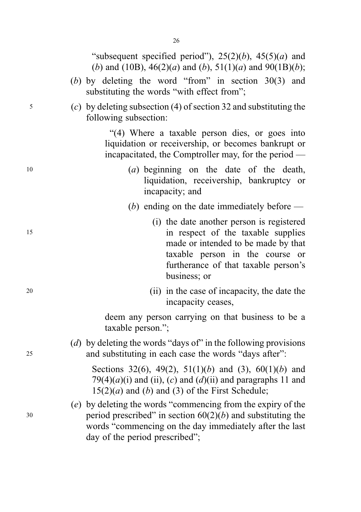|    | "subsequent specified period"), $25(2)(b)$ , $45(5)(a)$ and<br>(b) and (10B), $46(2)(a)$ and (b), $51(1)(a)$ and $90(1B)(b)$ ;                                                                                             |
|----|----------------------------------------------------------------------------------------------------------------------------------------------------------------------------------------------------------------------------|
|    | (b) by deleting the word "from" in section $30(3)$ and<br>substituting the words "with effect from";                                                                                                                       |
| 5  | (c) by deleting subsection (4) of section 32 and substituting the<br>following subsection:                                                                                                                                 |
|    | "(4) Where a taxable person dies, or goes into<br>liquidation or receivership, or becomes bankrupt or<br>incapacitated, the Comptroller may, for the period —                                                              |
| 10 | (a) beginning on the date of the death,<br>liquidation, receivership, bankruptcy or<br>incapacity; and                                                                                                                     |
|    | (b) ending on the date immediately before $-$                                                                                                                                                                              |
| 15 | (i) the date another person is registered<br>in respect of the taxable supplies<br>made or intended to be made by that<br>taxable person in the course or<br>furtherance of that taxable person's<br>business; or          |
| 20 | (ii) in the case of incapacity, the date the<br>incapacity ceases,                                                                                                                                                         |
|    | deem any person carrying on that business to be a<br>taxable person.";                                                                                                                                                     |
| 25 | (d) by deleting the words "days of" in the following provisions<br>and substituting in each case the words "days after":                                                                                                   |
|    | Sections 32(6), 49(2), 51(1)(b) and (3), 60(1)(b) and<br>79(4)(a)(i) and (ii), (c) and (d)(ii) and paragraphs 11 and<br>$15(2)(a)$ and (b) and (3) of the First Schedule;                                                  |
| 30 | (e) by deleting the words "commencing from the expiry of the<br>period prescribed" in section $60(2)(b)$ and substituting the<br>words "commencing on the day immediately after the last<br>day of the period prescribed"; |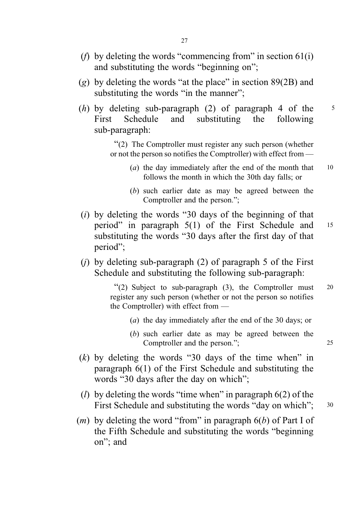- (*f*) by deleting the words "commencing from" in section  $61(i)$ and substituting the words "beginning on";
- (g) by deleting the words "at the place" in section  $89(2B)$  and substituting the words "in the manner";
- (h) by deleting sub-paragraph (2) of paragraph 4 of the  $\frac{5}{5}$ First Schedule and substituting the following sub-paragraph:

"(2) The Comptroller must register any such person (whether or not the person so notifies the Comptroller) with effect from —

- (a) the day immediately after the end of the month that  $10$ follows the month in which the 30th day falls; or
- (b) such earlier date as may be agreed between the Comptroller and the person.";
- $(i)$  by deleting the words "30 days of the beginning of that period" in paragraph 5(1) of the First Schedule and <sup>15</sup> substituting the words "30 days after the first day of that period";
- (i) by deleting sub-paragraph  $(2)$  of paragraph 5 of the First Schedule and substituting the following sub-paragraph:

"(2) Subject to sub-paragraph (3), the Comptroller must <sup>20</sup> register any such person (whether or not the person so notifies the Comptroller) with effect from —

- (a) the day immediately after the end of the 30 days; or
- (b) such earlier date as may be agreed between the Comptroller and the person."; 25
- $(k)$  by deleting the words "30 days of the time when" in paragraph 6(1) of the First Schedule and substituting the words "30 days after the day on which";
- (*l*) by deleting the words "time when" in paragraph  $6(2)$  of the First Schedule and substituting the words "day on which"; 30
- $(m)$  by deleting the word "from" in paragraph  $6(b)$  of Part I of the Fifth Schedule and substituting the words "beginning on"; and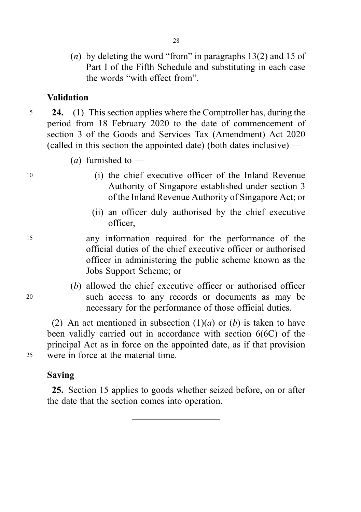(*n*) by deleting the word "from" in paragraphs  $13(2)$  and 15 of Part I of the Fifth Schedule and substituting in each case the words "with effect from".

# Validation

- $5 \qquad 24. \qquad (1)$  This section applies where the Comptroller has, during the period from 18 February 2020 to the date of commencement of section 3 of the Goods and Services Tax (Amendment) Act 2020 (called in this section the appointed date) (both dates inclusive) —
	- (*a*) furnished to —
- <sup>10</sup> (i) the chief executive officer of the Inland Revenue Authority of Singapore established under section 3 of the Inland Revenue Authority of Singapore Act; or
	- (ii) an officer duly authorised by the chief executive officer,
- <sup>15</sup> any information required for the performance of the official duties of the chief executive officer or authorised officer in administering the public scheme known as the Jobs Support Scheme; or
- (b) allowed the chief executive officer or authorised officer <sup>20</sup> such access to any records or documents as may be necessary for the performance of those official duties.

(2) An act mentioned in subsection  $(1)(a)$  or  $(b)$  is taken to have been validly carried out in accordance with section 6(6C) of the principal Act as in force on the appointed date, as if that provision <sup>25</sup> were in force at the material time.

# Saving

25. Section 15 applies to goods whether seized before, on or after the date that the section comes into operation.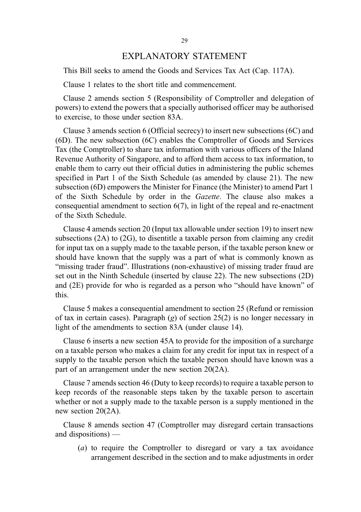#### EXPLANATORY STATEMENT

This Bill seeks to amend the Goods and Services Tax Act (Cap. 117A).

Clause 1 relates to the short title and commencement.

Clause 2 amends section 5 (Responsibility of Comptroller and delegation of powers) to extend the powers that a specially authorised officer may be authorised to exercise, to those under section 83A.

Clause 3 amends section 6 (Official secrecy) to insert new subsections (6C) and (6D). The new subsection (6C) enables the Comptroller of Goods and Services Tax (the Comptroller) to share tax information with various officers of the Inland Revenue Authority of Singapore, and to afford them access to tax information, to enable them to carry out their official duties in administering the public schemes specified in Part 1 of the Sixth Schedule (as amended by clause 21). The new subsection (6D) empowers the Minister for Finance (the Minister) to amend Part 1 of the Sixth Schedule by order in the Gazette. The clause also makes a consequential amendment to section  $6(7)$ , in light of the repeal and re-enactment of the Sixth Schedule.

Clause 4 amends section 20 (Input tax allowable under section 19) to insert new subsections (2A) to (2G), to disentitle a taxable person from claiming any credit for input tax on a supply made to the taxable person, if the taxable person knew or should have known that the supply was a part of what is commonly known as "missing trader fraud". Illustrations (non-exhaustive) of missing trader fraud are set out in the Ninth Schedule (inserted by clause 22). The new subsections (2D) and (2E) provide for who is regarded as a person who "should have known" of this.

Clause 5 makes a consequential amendment to section 25 (Refund or remission of tax in certain cases). Paragraph (g) of section  $25(2)$  is no longer necessary in light of the amendments to section 83A (under clause 14).

Clause 6 inserts a new section 45A to provide for the imposition of a surcharge on a taxable person who makes a claim for any credit for input tax in respect of a supply to the taxable person which the taxable person should have known was a part of an arrangement under the new section 20(2A).

Clause 7 amends section 46 (Duty to keep records) to require a taxable person to keep records of the reasonable steps taken by the taxable person to ascertain whether or not a supply made to the taxable person is a supply mentioned in the new section 20(2A).

Clause 8 amends section 47 (Comptroller may disregard certain transactions and dispositions) —

(a) to require the Comptroller to disregard or vary a tax avoidance arrangement described in the section and to make adjustments in order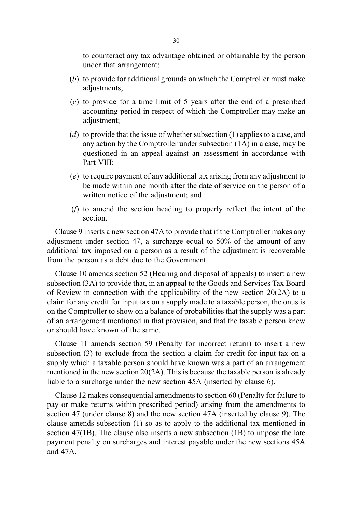to counteract any tax advantage obtained or obtainable by the person under that arrangement;

- (b) to provide for additional grounds on which the Comptroller must make adjustments;
- (c) to provide for a time limit of 5 years after the end of a prescribed accounting period in respect of which the Comptroller may make an adjustment;
- (d) to provide that the issue of whether subsection  $(1)$  applies to a case, and any action by the Comptroller under subsection (1A) in a case, may be questioned in an appeal against an assessment in accordance with Part VIII;
- (e) to require payment of any additional tax arising from any adjustment to be made within one month after the date of service on the person of a written notice of the adjustment; and
- (f) to amend the section heading to properly reflect the intent of the section.

Clause 9 inserts a new section 47A to provide that if the Comptroller makes any adjustment under section 47, a surcharge equal to 50% of the amount of any additional tax imposed on a person as a result of the adjustment is recoverable from the person as a debt due to the Government.

Clause 10 amends section 52 (Hearing and disposal of appeals) to insert a new subsection (3A) to provide that, in an appeal to the Goods and Services Tax Board of Review in connection with the applicability of the new section 20(2A) to a claim for any credit for input tax on a supply made to a taxable person, the onus is on the Comptroller to show on a balance of probabilities that the supply was a part of an arrangement mentioned in that provision, and that the taxable person knew or should have known of the same.

Clause 11 amends section 59 (Penalty for incorrect return) to insert a new subsection (3) to exclude from the section a claim for credit for input tax on a supply which a taxable person should have known was a part of an arrangement mentioned in the new section 20(2A). This is because the taxable person is already liable to a surcharge under the new section 45A (inserted by clause 6).

Clause 12 makes consequential amendments to section 60 (Penalty for failure to pay or make returns within prescribed period) arising from the amendments to section 47 (under clause 8) and the new section 47A (inserted by clause 9). The clause amends subsection (1) so as to apply to the additional tax mentioned in section 47(1B). The clause also inserts a new subsection (1B) to impose the late payment penalty on surcharges and interest payable under the new sections 45A and 47A.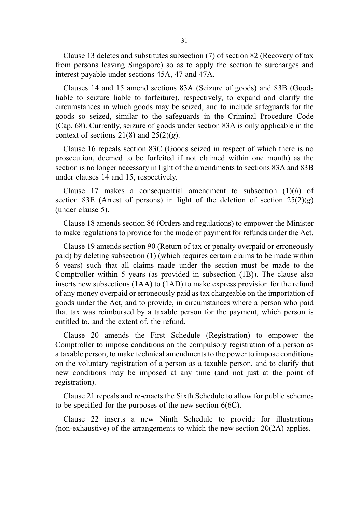Clause 13 deletes and substitutes subsection (7) of section 82 (Recovery of tax from persons leaving Singapore) so as to apply the section to surcharges and interest payable under sections 45A, 47 and 47A.

Clauses 14 and 15 amend sections 83A (Seizure of goods) and 83B (Goods liable to seizure liable to forfeiture), respectively, to expand and clarify the circumstances in which goods may be seized, and to include safeguards for the goods so seized, similar to the safeguards in the Criminal Procedure Code (Cap. 68). Currently, seizure of goods under section 83A is only applicable in the context of sections  $21(8)$  and  $25(2)(g)$ .

Clause 16 repeals section 83C (Goods seized in respect of which there is no prosecution, deemed to be forfeited if not claimed within one month) as the section is no longer necessary in light of the amendments to sections 83A and 83B under clauses 14 and 15, respectively.

Clause 17 makes a consequential amendment to subsection  $(1)(b)$  of section 83E (Arrest of persons) in light of the deletion of section  $25(2)(g)$ (under clause 5).

Clause 18 amends section 86 (Orders and regulations) to empower the Minister to make regulations to provide for the mode of payment for refunds under the Act.

Clause 19 amends section 90 (Return of tax or penalty overpaid or erroneously paid) by deleting subsection (1) (which requires certain claims to be made within 6 years) such that all claims made under the section must be made to the Comptroller within 5 years (as provided in subsection (1B)). The clause also inserts new subsections (1AA) to (1AD) to make express provision for the refund of any money overpaid or erroneously paid as tax chargeable on the importation of goods under the Act, and to provide, in circumstances where a person who paid that tax was reimbursed by a taxable person for the payment, which person is entitled to, and the extent of, the refund.

Clause 20 amends the First Schedule (Registration) to empower the Comptroller to impose conditions on the compulsory registration of a person as a taxable person, to make technical amendments to the power to impose conditions on the voluntary registration of a person as a taxable person, and to clarify that new conditions may be imposed at any time (and not just at the point of registration).

Clause 21 repeals and re-enacts the Sixth Schedule to allow for public schemes to be specified for the purposes of the new section 6(6C).

Clause 22 inserts a new Ninth Schedule to provide for illustrations (non-exhaustive) of the arrangements to which the new section  $20(2)$  applies.